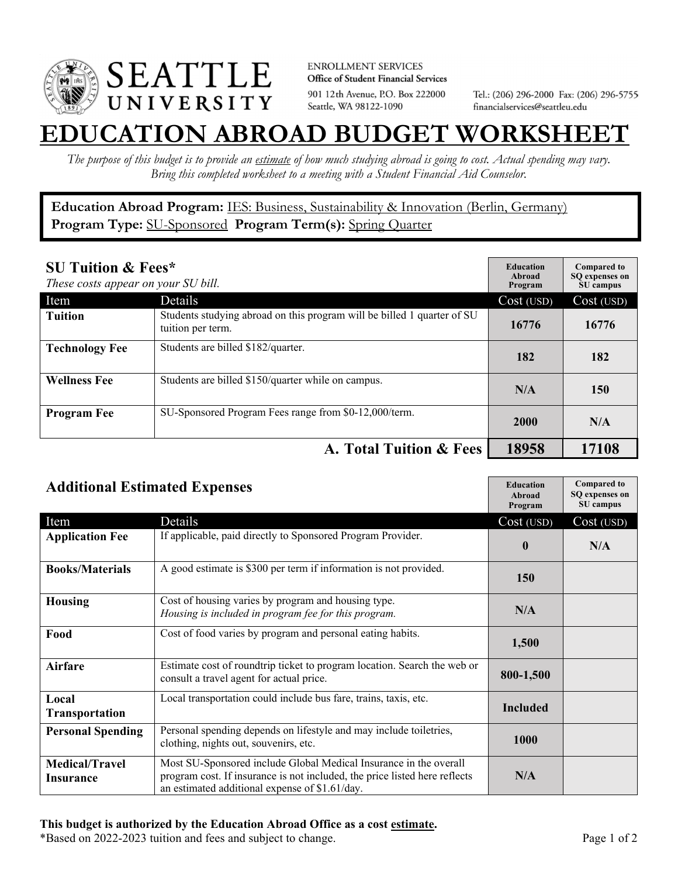

**ENROLLMENT SERVICES** Office of Student Financial Services 901 12th Avenue, P.O. Box 222000 Seattle, WA 98122-1090

Tel.: (206) 296-2000 Fax: (206) 296-5755 financialservices@seattleu.edu

## **EATION ABROAD BUDGET WORKSHEE**

*The purpose of this budget is to provide an estimate of how much studying abroad is going to cost. Actual spending may vary. Bring this completed worksheet to a meeting with a Student Financial Aid Counselor.* 

**Education Abroad Program:** IES: Business, Sustainability & Innovation (Berlin, Germany) **Program Type:** SU-Sponsored **Program Term(s):** Spring Quarter

| <b>SU Tuition &amp; Fees*</b><br>These costs appear on your SU bill. |                                                                                              | <b>Education</b><br>Abroad<br>Program | <b>Compared to</b><br>SO expenses on<br>SU campus |
|----------------------------------------------------------------------|----------------------------------------------------------------------------------------------|---------------------------------------|---------------------------------------------------|
| Item                                                                 | Details                                                                                      | Cost (USD)                            | Cost (USD)                                        |
| <b>Tuition</b>                                                       | Students studying abroad on this program will be billed 1 quarter of SU<br>tuition per term. | 16776                                 | 16776                                             |
| <b>Technology Fee</b>                                                | Students are billed \$182/quarter.                                                           | 182                                   | 182                                               |
| <b>Wellness Fee</b>                                                  | Students are billed \$150/quarter while on campus.                                           | N/A                                   | 150                                               |
| <b>Program Fee</b>                                                   | SU-Sponsored Program Fees range from \$0-12,000/term.                                        | 2000                                  | N/A                                               |
|                                                                      | A. Total Tuition & Fees                                                                      | 18958                                 | 17108                                             |

| <b>Additional Estimated Expenses</b> |                                                                                                                                                                                                   | <b>Education</b><br>Abroad<br>Program | <b>Compared to</b><br>SQ expenses on<br>SU campus |
|--------------------------------------|---------------------------------------------------------------------------------------------------------------------------------------------------------------------------------------------------|---------------------------------------|---------------------------------------------------|
| Item                                 | Details                                                                                                                                                                                           | Cost (USD)                            | Cost (USD)                                        |
| <b>Application Fee</b>               | If applicable, paid directly to Sponsored Program Provider.                                                                                                                                       | $\bf{0}$                              | N/A                                               |
| <b>Books/Materials</b>               | A good estimate is \$300 per term if information is not provided.                                                                                                                                 | 150                                   |                                                   |
| <b>Housing</b>                       | Cost of housing varies by program and housing type.<br>Housing is included in program fee for this program.                                                                                       | N/A                                   |                                                   |
| Food                                 | Cost of food varies by program and personal eating habits.                                                                                                                                        | 1,500                                 |                                                   |
| <b>Airfare</b>                       | Estimate cost of roundtrip ticket to program location. Search the web or<br>consult a travel agent for actual price.                                                                              | 800-1,500                             |                                                   |
| Local<br><b>Transportation</b>       | Local transportation could include bus fare, trains, taxis, etc.                                                                                                                                  | <b>Included</b>                       |                                                   |
| <b>Personal Spending</b>             | Personal spending depends on lifestyle and may include toiletries,<br>clothing, nights out, souvenirs, etc.                                                                                       | 1000                                  |                                                   |
| <b>Medical/Travel</b><br>Insurance   | Most SU-Sponsored include Global Medical Insurance in the overall<br>program cost. If insurance is not included, the price listed here reflects<br>an estimated additional expense of \$1.61/day. | N/A                                   |                                                   |

\*Based on 2022-2023 tuition and fees and subject to change. Page 1 of 2